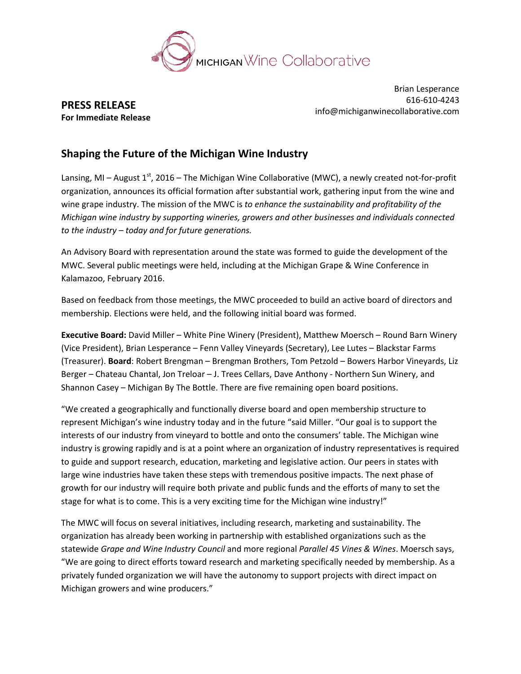

**PRESS RELEASE For Immediate Release**

Brian Lesperance 616-610-4243 info@michiganwinecollaborative.com

## **Shaping the Future of the Michigan Wine Industry**

Lansing, MI – August 1<sup>st</sup>, 2016 – The Michigan Wine Collaborative (MWC), a newly created not-for-profit organization, announces its official formation after substantial work, gathering input from the wine and wine grape industry. The mission of the MWC is *to enhance the sustainability and profitability of the Michigan wine industry by supporting wineries, growers and other businesses and individuals connected to the industry – today and for future generations.*

An Advisory Board with representation around the state was formed to guide the development of the MWC. Several public meetings were held, including at the Michigan Grape & Wine Conference in Kalamazoo, February 2016.

Based on feedback from those meetings, the MWC proceeded to build an active board of directors and membership. Elections were held, and the following initial board was formed.

**Executive Board:** David Miller – White Pine Winery (President), Matthew Moersch – Round Barn Winery (Vice President), Brian Lesperance – Fenn Valley Vineyards (Secretary), Lee Lutes – Blackstar Farms (Treasurer). **Board**: Robert Brengman – Brengman Brothers, Tom Petzold – Bowers Harbor Vineyards, Liz Berger – Chateau Chantal, Jon Treloar – J. Trees Cellars, Dave Anthony - Northern Sun Winery, and Shannon Casey – Michigan By The Bottle. There are five remaining open board positions.

"We created a geographically and functionally diverse board and open membership structure to represent Michigan's wine industry today and in the future "said Miller. "Our goal is to support the interests of our industry from vineyard to bottle and onto the consumers' table. The Michigan wine industry is growing rapidly and is at a point where an organization of industry representatives is required to guide and support research, education, marketing and legislative action. Our peers in states with large wine industries have taken these steps with tremendous positive impacts. The next phase of growth for our industry will require both private and public funds and the efforts of many to set the stage for what is to come. This is a very exciting time for the Michigan wine industry!"

The MWC will focus on several initiatives, including research, marketing and sustainability. The organization has already been working in partnership with established organizations such as the statewide *Grape and Wine Industry Council* and more regional *Parallel 45 Vines & Wines*. Moersch says, "We are going to direct efforts toward research and marketing specifically needed by membership. As a privately funded organization we will have the autonomy to support projects with direct impact on Michigan growers and wine producers."